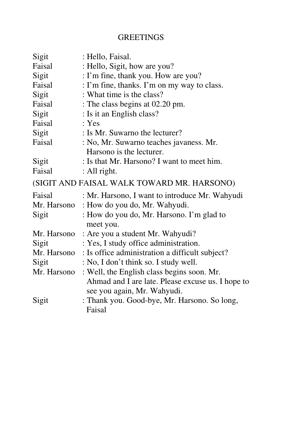# **GREETINGS**

| Sigit       | : Hello, Faisal.                                           |  |  |
|-------------|------------------------------------------------------------|--|--|
| Faisal      | : Hello, Sigit, how are you?                               |  |  |
| Sigit       | : I'm fine, thank you. How are you?                        |  |  |
| Faisal      | : I'm fine, thanks. I'm on my way to class.                |  |  |
| Sigit       | : What time is the class?                                  |  |  |
| Faisal      | : The class begins at 02.20 pm.                            |  |  |
| Sigit       | : Is it an English class?                                  |  |  |
| Faisal      | : Yes                                                      |  |  |
| Sigit       | : Is Mr. Suwarno the lecturer?                             |  |  |
| Faisal      | : No, Mr. Suwarno teaches javaness. Mr.                    |  |  |
|             | Harsono is the lecturer.                                   |  |  |
| Sigit       | : Is that Mr. Harsono? I want to meet him.                 |  |  |
| Faisal      | : All right.                                               |  |  |
|             | (SIGIT AND FAISAL WALK TOWARD MR. HARSONO)                 |  |  |
| Faisal      | : Mr. Harsono, I want to introduce Mr. Wahyudi             |  |  |
|             | Mr. Harsono: How do you do, Mr. Wahyudi.                   |  |  |
| Sigit       | : How do you do, Mr. Harsono. I'm glad to                  |  |  |
|             | meet you.                                                  |  |  |
|             | Mr. Harsono : Are you a student Mr. Wahyudi?               |  |  |
| Sigit       | : Yes, I study office administration.                      |  |  |
|             | Mr. Harsono: Is office administration a difficult subject? |  |  |
| Sigit       | : No, I don't think so. I study well.                      |  |  |
| Mr. Harsono | : Well, the English class begins soon. Mr.                 |  |  |
|             | Ahmad and I are late. Please excuse us. I hope to          |  |  |
|             | see you again, Mr. Wahyudi.                                |  |  |
| Sigit       | : Thank you. Good-bye, Mr. Harsono. So long,               |  |  |
|             | Faisal                                                     |  |  |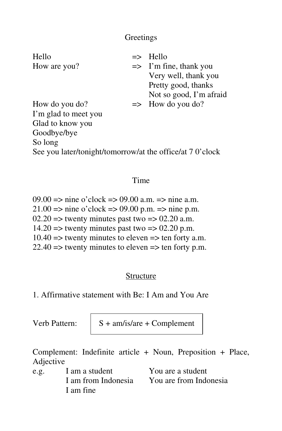## **Greetings**

| Hello                                                     |  | $\Rightarrow$ Hello               |  |
|-----------------------------------------------------------|--|-----------------------------------|--|
| How are you?                                              |  | $\Rightarrow$ I'm fine, thank you |  |
|                                                           |  | Very well, thank you              |  |
|                                                           |  | Pretty good, thanks               |  |
|                                                           |  | Not so good, I'm afraid           |  |
| How do you do?                                            |  | $\Rightarrow$ How do you do?      |  |
| I'm glad to meet you                                      |  |                                   |  |
| Glad to know you                                          |  |                                   |  |
| Goodbye/bye                                               |  |                                   |  |
| So long                                                   |  |                                   |  |
| See you later/tonight/tomorrow/at the office/at 7 0'clock |  |                                   |  |
|                                                           |  |                                   |  |

### Time

09.00  $\Rightarrow$  nine o'clock  $\Rightarrow$  09.00 a.m.  $\Rightarrow$  nine a.m. 21.00 => nine o'clock => 09.00 p.m. => nine p.m.  $02.20 \Rightarrow$  twenty minutes past two  $\Rightarrow 02.20$  a.m.  $14.20 \Rightarrow$  twenty minutes past two  $\Rightarrow$  02.20 p.m.  $10.40 \Rightarrow$  twenty minutes to eleven  $\Rightarrow$  ten forty a.m.  $22.40 \Rightarrow$  twenty minutes to eleven  $\Rightarrow$  ten forty p.m.

## Structure

1. Affirmative statement with Be: I Am and You Are

Verb Pattern:  $\vert$  S + am/is/are + Complement

Complement: Indefinite article + Noun, Preposition + Place, Adjective

e.g. I am a student You are a student I am fine

I am from Indonesia You are from Indonesia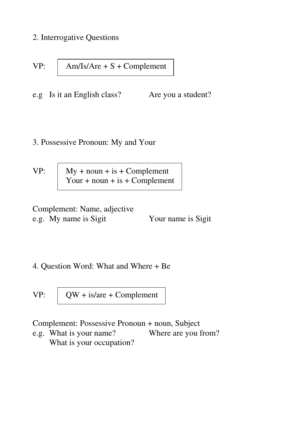2. Interrogative Questions

VP: 
$$
\begin{array}{|c|c|}\n\hline\n\text{Am/Is/Are} + \text{S} + \text{Complement}\n\end{array}
$$

e.g Is it an English class? Are you a student?

#### 3. Possessive Pronoun: My and Your

VP:  $\vert$  My + noun + is + Complement Your + noun + is + Complement

Complement: Name, adjective e.g. My name is Sigit Your name is Sigit

#### 4. Question Word: What and Where + Be

VP:  $\vert$  QW + is/are + Complement

Complement: Possessive Pronoun + noun, Subject

e.g. What is your name? Where are you from? What is your occupation?